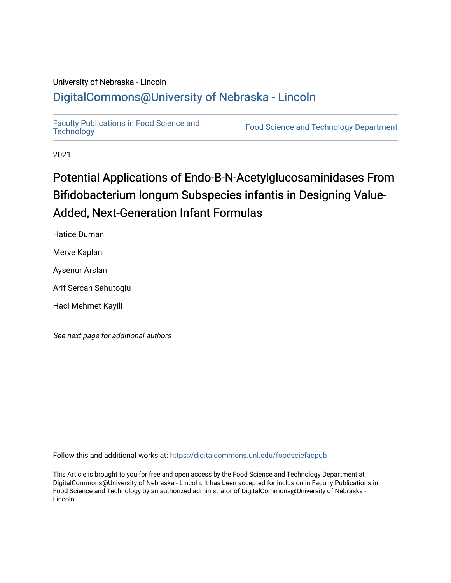## University of Nebraska - Lincoln [DigitalCommons@University of Nebraska - Lincoln](https://digitalcommons.unl.edu/)

[Faculty Publications in Food Science and](https://digitalcommons.unl.edu/foodsciefacpub)

Food Science and [Technology](https://digitalcommons.unl.edu/foodsciefacpub) Department

2021

## Potential Applications of Endo-B-N-Acetylglucosaminidases From Bifidobacterium longum Subspecies infantis in Designing Value-Added, Next-Generation Infant Formulas

Hatice Duman

Merve Kaplan

Aysenur Arslan

Arif Sercan Sahutoglu

Haci Mehmet Kayili

See next page for additional authors

Follow this and additional works at: [https://digitalcommons.unl.edu/foodsciefacpub](https://digitalcommons.unl.edu/foodsciefacpub?utm_source=digitalcommons.unl.edu%2Ffoodsciefacpub%2F427&utm_medium=PDF&utm_campaign=PDFCoverPages) 

This Article is brought to you for free and open access by the Food Science and Technology Department at DigitalCommons@University of Nebraska - Lincoln. It has been accepted for inclusion in Faculty Publications in Food Science and Technology by an authorized administrator of DigitalCommons@University of Nebraska -Lincoln.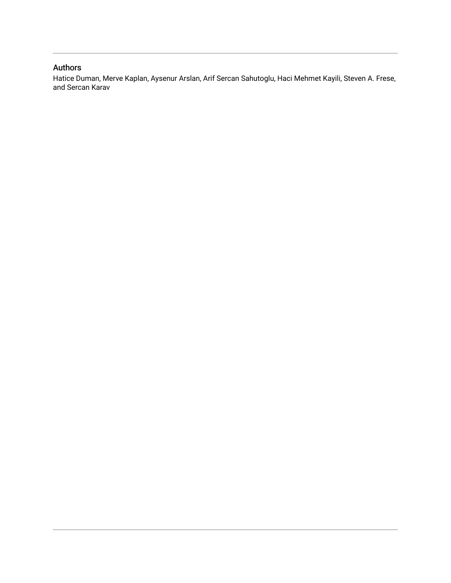### Authors

Hatice Duman, Merve Kaplan, Aysenur Arslan, Arif Sercan Sahutoglu, Haci Mehmet Kayili, Steven A. Frese, and Sercan Karav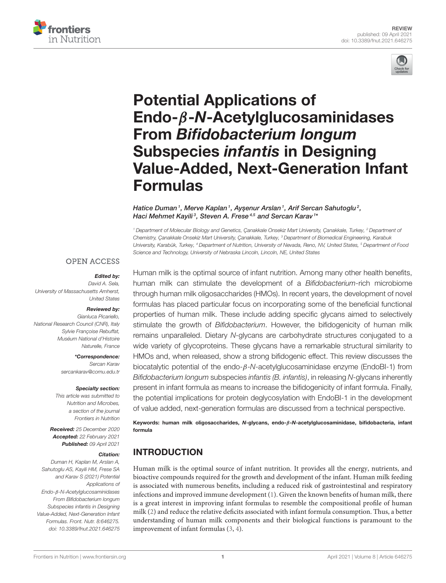



# Potential Applications of Endo-β-N-Acetylglucosaminidases From Bifidobacterium longum Subspecies infantis in Designing [Value-Added, Next-Generation Infant](https://www.frontiersin.org/articles/10.3389/fnut.2021.646275/full) Formulas

#### Hatice Duman<sup>1</sup>, Merve Kaplan<sup>1</sup>, Ayşenur Arslan<sup>1</sup>, Arif Sercan Sahutoglu<sup>2</sup>, Haci Mehmet Kayili<sup>3</sup>, Steven A. Frese<sup>4,5</sup> and Sercan Karav <sup>1</sup>\*

<sup>1</sup> Department of Molecular Biology and Genetics, Çanakkale Onsekiz Mart University, Çanakkale, Turkey, <sup>2</sup> Department of Chemistry, Çanakkale Onsekiz Mart University, Çanakkale, Turkey, <sup>3</sup> Department of Biomedical Engineering, Karabuk University, Karabük, Turkey, <sup>4</sup> Department of Nutrition, University of Nevada, Reno, NV, United States, <sup>5</sup> Department of Food Science and Technology, University of Nebraska Lincoln, Lincoln, NE, United States

#### **OPEN ACCESS**

#### Edited by:

David A. Sela, University of Massachusetts Amherst, United States

#### Reviewed by:

Gianluca Picariello, National Research Council (CNR), Italy Sylvie Françoise Rebuffat, Muséum National d'Histoire Naturelle, France

> \*Correspondence: Sercan Karav

[sercankarav@comu.edu.tr](mailto:sercankarav@comu.edu.tr)

#### Specialty section:

This article was submitted to Nutrition and Microbes, a section of the journal Frontiers in Nutrition

Received: 25 December 2020 Accepted: 22 February 2021 Published: 09 April 2021

#### Citation:

Duman H, Kaplan M, Arslan A, Sahutoglu AS, Kayili HM, Frese SA and Karav S (2021) Potential Applications of Endo-β-N-Acetylglucosaminidases From Bifidobacterium longum Subspecies infantis in Designing Value-Added, Next-Generation Infant Formulas. Front. Nutr. 8:646275. doi: [10.3389/fnut.2021.646275](https://doi.org/10.3389/fnut.2021.646275) Human milk is the optimal source of infant nutrition. Among many other health benefits, human milk can stimulate the development of a Bifidobacterium-rich microbiome through human milk oligosaccharides (HMOs). In recent years, the development of novel formulas has placed particular focus on incorporating some of the beneficial functional properties of human milk. These include adding specific glycans aimed to selectively stimulate the growth of Bifidobacterium. However, the bifidogenicity of human milk remains unparalleled. Dietary N-glycans are carbohydrate structures conjugated to a wide variety of glycoproteins. These glycans have a remarkable structural similarity to HMOs and, when released, show a strong bifidogenic effect. This review discusses the biocatalytic potential of the endo-β-N-acetylglucosaminidase enzyme (EndoBI-1) from Bifidobacterium longum subspecies infantis (B. infantis), in releasing N-glycans inherently present in infant formula as means to increase the bifidogenicity of infant formula. Finally, the potential implications for protein deglycosylation with EndoBI-1 in the development of value added, next-generation formulas are discussed from a technical perspective.

Keywords: human milk oligosaccharides, N-glycans, endo-β-N-acetylglucosaminidase, bifidobacteria, infant formula

## INTRODUCTION

Human milk is the optimal source of infant nutrition. It provides all the energy, nutrients, and bioactive compounds required for the growth and development of the infant. Human milk feeding is associated with numerous benefits, including a reduced risk of gastrointestinal and respiratory infections and improved immune development [\(1\)](#page-9-0). Given the known benefits of human milk, there is a great interest in improving infant formulas to resemble the compositional profile of human milk [\(2\)](#page-9-1) and reduce the relative deficits associated with infant formula consumption. Thus, a better understanding of human milk components and their biological functions is paramount to the improvement of infant formulas [\(3,](#page-9-2) [4\)](#page-9-3).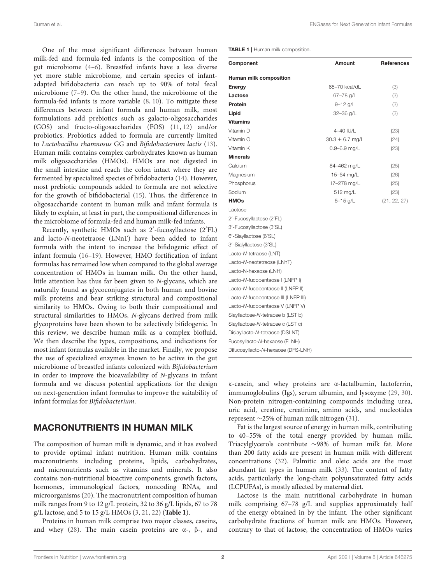One of the most significant differences between human milk-fed and formula-fed infants is the composition of the gut microbiome [\(4–](#page-9-3)[6\)](#page-9-4). Breastfed infants have a less diverse yet more stable microbiome, and certain species of infantadapted bifidobacteria can reach up to 90% of total fecal microbiome [\(7–](#page-9-5)[9\)](#page-9-6). On the other hand, the microbiome of the formula-fed infants is more variable [\(8,](#page-9-7) [10\)](#page-9-8). To mitigate these differences between infant formula and human milk, most formulations add prebiotics such as galacto-oligosaccharides (GOS) and fructo-oligosaccharides (FOS) [\(11,](#page-9-9) [12\)](#page-9-10) and/or probiotics. Probiotics added to formula are currently limited to Lactobacillus rhamnosus GG and Bifidobacterium lactis [\(13\)](#page-9-11). Human milk contains complex carbohydrates known as human milk oligosaccharides (HMOs). HMOs are not digested in the small intestine and reach the colon intact where they are fermented by specialized species of bifidobacteria [\(14\)](#page-9-12). However, most prebiotic compounds added to formula are not selective for the growth of bifidobacterial [\(15\)](#page-10-0). Thus, the difference in oligosaccharide content in human milk and infant formula is likely to explain, at least in part, the compositional differences in the microbiome of formula-fed and human milk-fed infants.

Recently, synthetic HMOs such as 2'-fucosyllactose (2'FL) and lacto-N-neotetraose (LNnT) have been added to infant formula with the intent to increase the bifidogenic effect of infant formula [\(16–](#page-10-1)[19\)](#page-10-2). However, HMO fortification of infant formulas has remained low when compared to the global average concentration of HMOs in human milk. On the other hand, little attention has thus far been given to N-glycans, which are naturally found as glycoconjugates in both human and bovine milk proteins and bear striking structural and compositional similarity to HMOs. Owing to both their compositional and structural similarities to HMOs, N-glycans derived from milk glycoproteins have been shown to be selectively bifidogenic. In this review, we describe human milk as a complex biofluid. We then describe the types, compositions, and indications for most infant formulas available in the market. Finally, we propose the use of specialized enzymes known to be active in the gut microbiome of breastfed infants colonized with Bifidobacterium in order to improve the bioavailability of N-glycans in infant formula and we discuss potential applications for the design on next-generation infant formulas to improve the suitability of infant formulas for Bifidobacterium.

#### MACRONUTRIENTS IN HUMAN MILK

The composition of human milk is dynamic, and it has evolved to provide optimal infant nutrition. Human milk contains macronutrients including proteins, lipids, carbohydrates, and micronutrients such as vitamins and minerals. It also contains non-nutritional bioactive components, growth factors, hormones, immunological factors, noncoding RNAs, and microorganisms [\(20\)](#page-10-3). The macronutrient composition of human milk ranges from 9 to 12 g/L protein, 32 to 36 g/L lipids, 67 to 78 g/L lactose, and 5 to 15 g/L HMOs [\(3,](#page-9-2) [21,](#page-10-4) [22\)](#page-10-5) (**[Table 1](#page-3-0)**).

Proteins in human milk comprise two major classes, caseins, and whey [\(28\)](#page-10-6). The main casein proteins are  $\alpha$ -,  $\beta$ -, and <span id="page-3-0"></span>TABLE 1 | Human milk composition.

| Component                           | Amount              | <b>References</b> |
|-------------------------------------|---------------------|-------------------|
| Human milk composition              |                     |                   |
| <b>Energy</b>                       | 65–70 kcal/dL       | (3)               |
| Lactose                             | 67-78 g/L           | (3)               |
| Protein                             | $9 - 12$ g/L        | (3)               |
| Lipid                               | 32-36 g/L           | (3)               |
| <b>Vitamins</b>                     |                     |                   |
| Vitamin D                           | 4-40 IU/L           | (23)              |
| Vitamin C                           | $30.3 \pm 6.7$ mg/L | (24)              |
| Vitamin K                           | 0.9-6.9 mg/L        | (23)              |
| <b>Minerals</b>                     |                     |                   |
| Calcium                             | 84-462 mg/L         | (25)              |
| Magnesium                           | 15-64 mg/L          | (26)              |
| Phosphorus                          | 17-278 mg/L         | (25)              |
| Sodium                              | 512 mg/L            | (23)              |
| <b>HMOs</b>                         | $5 - 15$ g/L        | (21, 22, 27)      |
| Lactose                             |                     |                   |
| 2'-Fucosyllactose (2'FL)            |                     |                   |
| 3'-Fucosyllactose (3'SL)            |                     |                   |
| 6'-Siayllactose (6'SL)              |                     |                   |
| 3'-Sialyllactose (3'SL)             |                     |                   |
| Lacto-N-tetraose (LNT)              |                     |                   |
| Lacto-N-neotetraose (LNnT)          |                     |                   |
| Lacto-N-hexaose (LNH)               |                     |                   |
| Lacto-N-fucopentaose I (LNFP I)     |                     |                   |
| Lacto-N-fucopentaose II (LNFP II)   |                     |                   |
| Lacto-N-fucopentaose III (LNFP III) |                     |                   |
| Lacto-N-fucopentaose V (LNFP V)     |                     |                   |
| Siayllactose-N-tetraose b (LST b)   |                     |                   |
| Siayllactose-N-tetraose c (LST c)   |                     |                   |
| Disiayllacto-N-tetraose (DSLNT)     |                     |                   |
| Fucosyllacto-N-hexaose (FLNH)       |                     |                   |
| Difucosyllacto-N-hexaose (DFS-LNH)  |                     |                   |

κ-casein, and whey proteins are α-lactalbumin, lactoferrin, immunoglobulins (Igs), serum albumin, and lysozyme [\(29,](#page-10-12) [30\)](#page-10-13). Non-protein nitrogen-containing compounds including urea, uric acid, creatine, creatinine, amino acids, and nucleotides represent ∼25% of human milk nitrogen [\(31\)](#page-10-14).

Fat is the largest source of energy in human milk, contributing to 40–55% of the total energy provided by human milk. Triacylglycerols contribute ∼98% of human milk fat. More than 200 fatty acids are present in human milk with different concentrations [\(32\)](#page-10-15). Palmitic and oleic acids are the most abundant fat types in human milk [\(33\)](#page-10-16). The content of fatty acids, particularly the long-chain polyunsaturated fatty acids (LCPUFAs), is mostly affected by maternal diet.

Lactose is the main nutritional carbohydrate in human milk comprising 67–78 g/L and supplies approximately half of the energy obtained in by the infant. The other significant carbohydrate fractions of human milk are HMOs. However, contrary to that of lactose, the concentration of HMOs varies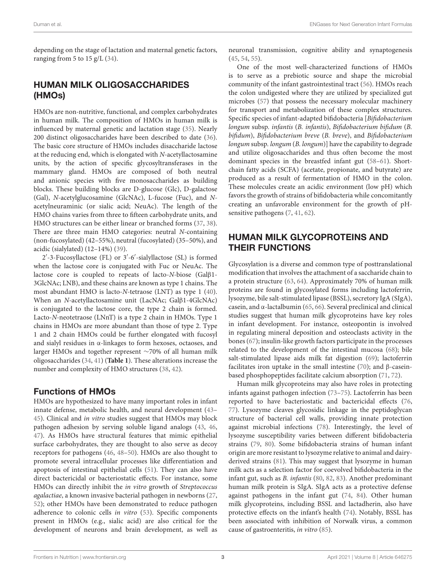depending on the stage of lactation and maternal genetic factors, ranging from 5 to 15 g/L  $(34)$ .

## HUMAN MILK OLIGOSACCHARIDES (HMOs)

HMOs are non-nutritive, functional, and complex carbohydrates in human milk. The composition of HMOs in human milk is influenced by maternal genetic and lactation stage [\(35\)](#page-10-18). Nearly 200 distinct oligosaccharides have been described to date [\(36\)](#page-10-19). The basic core structure of HMOs includes disaccharide lactose at the reducing end, which is elongated with N-acetyllactosamine units, by the action of specific glycosyltransferases in the mammary gland. HMOs are composed of both neutral and anionic species with five monosaccharides as building blocks. These building blocks are D-glucose (Glc), D-galactose (Gal), N-acetylglucosamine (GlcNAc), L-fucose (Fuc), and Nacetylneuraminic (or sialic acid; NeuAc). The length of the HMO chains varies from three to fifteen carbohydrate units, and HMO structures can be either linear or branched forms [\(37,](#page-10-20) [38\)](#page-10-21). There are three main HMO categories: neutral N-containing (non-fucosylated) (42–55%), neutral (fucosylated) (35–50%), and acidic (sialylated) (12–14%) [\(39\)](#page-10-22).

2 ′ -3-Fucosyllactose (FL) or 3′ -6′ -sialyllactose (SL) is formed when the lactose core is conjugated with Fuc or NeuAc. The lactose core is coupled to repeats of lacto-N-biose (Galβ1- 3GlcNAc; LNB), and these chains are known as type 1 chains. The most abundant HMO is lacto-N-tetraose (LNT) as type 1 [\(40\)](#page-10-23). When an N-acetyllactosamine unit (LacNAc; Galβ1-4GlcNAc) is conjugated to the lactose core, the type 2 chain is formed. Lacto-N-neotetraose (LNnT) is a type 2 chain in HMOs. Type 1 chains in HMOs are more abundant than those of type 2. Type 1 and 2 chain HMOs could be further elongated with fucosyl and sialyl residues in α-linkages to form hexoses, octaoses, and larger HMOs and together represent ∼70% of all human milk oligosaccharides [\(34,](#page-10-17) [41\)](#page-10-24) (**[Table 1](#page-3-0)**). These alterations increase the number and complexity of HMO structures [\(38,](#page-10-21) [42\)](#page-10-25).

#### Functions of HMOs

HMOs are hypothesized to have many important roles in infant innate defense, metabolic health, and neural development [\(43–](#page-10-26) [45\)](#page-10-27). Clinical and in vitro studies suggest that HMOs may block pathogen adhesion by serving soluble ligand analogs [\(43,](#page-10-26) [46,](#page-10-28) [47\)](#page-10-29). As HMOs have structural features that mimic epithelial surface carbohydrates, they are thought to also serve as decoy receptors for pathogens [\(46,](#page-10-28) [48](#page-10-30)[–50\)](#page-10-31). HMOs are also thought to promote several intracellular processes like differentiation and apoptosis of intestinal epithelial cells [\(51\)](#page-10-32). They can also have direct bactericidal or bacteriostatic effects. For instance, some HMOs can directly inhibit the in vitro growth of Streptococcus agalactiae, a known invasive bacterial pathogen in newborns [\(27,](#page-10-11) [52\)](#page-10-33); other HMOs have been demonstrated to reduce pathogen adherence to colonic cells in vitro [\(53\)](#page-10-34). Specific components present in HMOs (e.g., sialic acid) are also critical for the development of neurons and brain development, as well as neuronal transmission, cognitive ability and synaptogenesis [\(45,](#page-10-27) [54,](#page-10-35) [55\)](#page-10-36).

One of the most well-characterized functions of HMOs is to serve as a prebiotic source and shape the microbial community of the infant gastrointestinal tract [\(56\)](#page-11-0). HMOs reach the colon undigested where they are utilized by specialized gut microbes [\(57\)](#page-11-1) that possess the necessary molecular machinery for transport and metabolization of these complex structures. Specific species of infant-adapted bifidobacteria [Bifidobacterium longum subsp. infantis (B. infantis), Bifidobacterium bifidum (B. bifidum), Bifidobacterium breve (B. breve), and Bifidobacterium longum subsp. longum (B. longum)] have the capability to degrade and utilize oligosaccharides and thus often become the most dominant species in the breastfed infant gut [\(58](#page-11-2)[–61\)](#page-11-3). Shortchain fatty acids (SCFA) (acetate, propionate, and butyrate) are produced as a result of fermentation of HMO in the colon. These molecules create an acidic environment (low pH) which favors the growth of strains of bifidobacteria while concomitantly creating an unfavorable environment for the growth of pHsensitive pathogens  $(7, 41, 62)$  $(7, 41, 62)$  $(7, 41, 62)$  $(7, 41, 62)$ .

## HUMAN MILK GLYCOPROTEINS AND THEIR FUNCTIONS

Glycosylation is a diverse and common type of posttranslational modification that involves the attachment of a saccharide chain to a protein structure [\(63,](#page-11-5) [64\)](#page-11-6). Approximately 70% of human milk proteins are found in glycosylated forms including lactoferrin, lysozyme, bile salt-stimulated lipase (BSSL), secretory IgA (SIgA), casein, and  $\alpha$ -lactalbumin [\(65,](#page-11-7) [66\)](#page-11-8). Several preclinical and clinical studies suggest that human milk glycoproteins have key roles in infant development. For instance, osteopontin is involved in regulating mineral deposition and osteoclasts activity in the bones [\(67\)](#page-11-9); insulin-like growth factors participate in the processes related to the development of the intestinal mucosa [\(68\)](#page-11-10); bile salt-stimulated lipase aids milk fat digestion [\(69\)](#page-11-11); lactoferrin facilitates iron uptake in the small intestine [\(70\)](#page-11-12); and  $\beta$ -caseinbased phosphopeptides facilitate calcium absorption [\(71,](#page-11-13) [72\)](#page-11-14).

Human milk glycoproteins may also have roles in protecting infants against pathogen infection [\(73](#page-11-15)[–75\)](#page-11-16). Lactoferrin has been reported to have bacteriostatic and bactericidal effects [\(76,](#page-11-17) [77\)](#page-11-18). Lysozyme cleaves glycosidic linkage in the peptidoglycan structure of bacterial cell walls, providing innate protection against microbial infections [\(78\)](#page-11-19). Interestingly, the level of lysozyme susceptibility varies between different bifidobacteria strains [\(79,](#page-11-20) [80\)](#page-11-21). Some bifidobacteria strains of human infant origin are more resistant to lysozyme relative to animal and dairyderived strains [\(81\)](#page-11-22). This may suggest that lysozyme in human milk acts as a selection factor for coevolved bifidobacteria in the infant gut, such as B. infantis [\(80,](#page-11-21) [82,](#page-11-23) [83\)](#page-11-24). Another predominant human milk protein is SIgA. SIgA acts as a protective defense against pathogens in the infant gut [\(74,](#page-11-25) [84\)](#page-11-26). Other human milk glycoproteins, including BSSL and lactadherin, also have protective effects on the infant's health [\(74\)](#page-11-25). Notably, BSSL has been associated with inhibition of Norwalk virus, a common cause of gastroenteritis, in vitro [\(85\)](#page-11-27).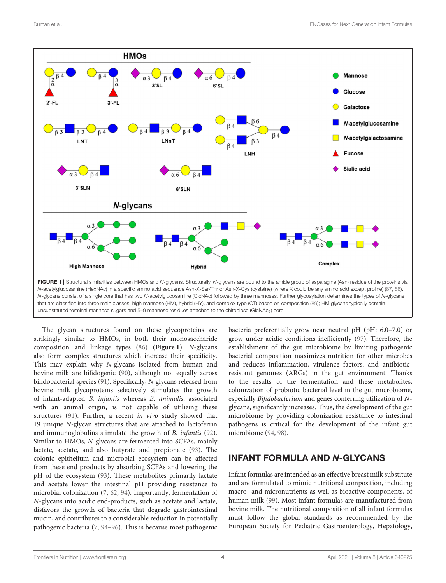

<span id="page-5-0"></span>The glycan structures found on these glycoproteins are strikingly similar to HMOs, in both their monosaccharide composition and linkage types [\(86\)](#page-11-31) (**[Figure 1](#page-5-0)**). N-glycans also form complex structures which increase their specificity. This may explain why N-glycans isolated from human and bovine milk are bifidogenic [\(90\)](#page-11-32), although not equally across bifidobacterial species [\(91\)](#page-11-33). Specifically, N-glycans released from bovine milk glycoproteins selectively stimulates the growth of infant-adapted B. infantis whereas B. animalis, associated with an animal origin, is not capable of utilizing these structures [\(91\)](#page-11-33). Further, a recent in vivo study showed that 19 unique N-glycan structures that are attached to lactoferrin and immunoglobulins stimulate the growth of B. infantis [\(92\)](#page-11-34). Similar to HMOs, N-glycans are fermented into SCFAs, mainly lactate, acetate, and also butyrate and propionate [\(93\)](#page-11-35). The colonic epithelium and microbial ecosystem can be affected from these end products by absorbing SCFAs and lowering the pH of the ecosystem [\(93\)](#page-11-35). These metabolites primarily lactate and acetate lower the intestinal pH providing resistance to microbial colonization [\(7,](#page-9-5) [62,](#page-11-4) [94\)](#page-11-36). Importantly, fermentation of N-glycans into acidic end-products, such as acetate and lactate, disfavors the growth of bacteria that degrade gastrointestinal mucin, and contributes to a considerable reduction in potentially pathogenic bacteria [\(7,](#page-9-5) [94–](#page-11-36)[96\)](#page-11-37). This is because most pathogenic bacteria preferentially grow near neutral pH (pH: 6.0–7.0) or grow under acidic conditions inefficiently [\(97\)](#page-12-0). Therefore, the establishment of the gut microbiome by limiting pathogenic bacterial composition maximizes nutrition for other microbes and reduces inflammation, virulence factors, and antibioticresistant genomes (ARGs) in the gut environment. Thanks to the results of the fermentation and these metabolites, colonization of probiotic bacterial level in the gut microbiome, especially Bifidobacterium and genes conferring utilization of Nglycans, significantly increases. Thus, the development of the gut microbiome by providing colonization resistance to intestinal pathogens is critical for the development of the infant gut microbiome [\(94,](#page-11-36) [98\)](#page-12-1).

## INFANT FORMULA AND N-GLYCANS

Infant formulas are intended as an effective breast milk substitute and are formulated to mimic nutritional composition, including macro- and micronutrients as well as bioactive components, of human milk [\(99\)](#page-12-2). Most infant formulas are manufactured from bovine milk. The nutritional composition of all infant formulas must follow the global standards as recommended by the European Society for Pediatric Gastroenterology, Hepatology,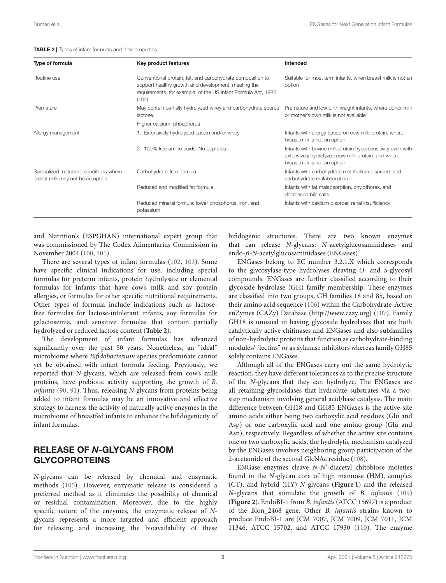| Duman et al. |  | <b>ENGases for Next Generation Infant Formulas</b> |  |  |  |
|--------------|--|----------------------------------------------------|--|--|--|
|--------------|--|----------------------------------------------------|--|--|--|

<span id="page-6-0"></span>

| Type of formula                                                            | Key product features                                                                                                                                                                        | Intended                                                                                                                                          |
|----------------------------------------------------------------------------|---------------------------------------------------------------------------------------------------------------------------------------------------------------------------------------------|---------------------------------------------------------------------------------------------------------------------------------------------------|
| Routine use                                                                | Conventional protein, fat, and carbohydrate composition to<br>support healthy growth and development, meeting the<br>requirements, for example, of the US Infant Formula Act, 1980<br>(104) | Suitable for most term infants, when breast milk is not an<br>option                                                                              |
| Premature                                                                  | May contain partially hydrolyzed whey and carbohydrate source<br>lactose.                                                                                                                   | Premature and low birth weight infants, where donor milk<br>or mother's own milk is not available                                                 |
|                                                                            | Higher calcium, phosphorus                                                                                                                                                                  |                                                                                                                                                   |
| Allergy management                                                         | 1. Extensively hydrolyzed casein and/or whey                                                                                                                                                | Infants with allergy based on cow milk protein, where<br>breast milk is not an option                                                             |
|                                                                            | 2. 100% free amino acids. No peptides                                                                                                                                                       | Infants with bovine milk protein hypersensitivity even with<br>extensively hydrolyzed cow milk protein, and where<br>breast milk is not an option |
| Specialized metabolic conditions where<br>breast milk may not be an option | Carbohydrate-free formula                                                                                                                                                                   | Infants with carbohydrate metabolism disorders and<br>carbohydrate malabsorption                                                                  |
|                                                                            | Reduced and modified fat formula                                                                                                                                                            | Infants with fat malabsorption, chylothorax, and<br>decreased bile salts                                                                          |
|                                                                            | Reduced mineral formula: lower phosphorus, iron, and<br>potassium                                                                                                                           | Infants with calcium disorder, renal insufficiency                                                                                                |

and Nutrition's (ESPGHAN) international expert group that was commissioned by The Codex Alimentarius Commission in November 2004 [\(100,](#page-12-4) [101\)](#page-12-5).

There are several types of infant formulas [\(102,](#page-12-6) [103\)](#page-12-7). Some have specific clinical indications for use, including special formulas for preterm infants, protein hydrolysate or elemental formulas for infants that have cow's milk and soy protein allergies, or formulas for other specific nutritional requirements. Other types of formula include indications such as lactosefree formulas for lactose-intolerant infants, soy formulas for galactosemia, and sensitive formulas that contain partially hydrolyzed or reduced lactose content (**[Table 2](#page-6-0)**).

The development of infant formulas has advanced significantly over the past 50 years. Nonetheless, an "ideal" microbiome where Bifidobacterium species predominate cannot yet be obtained with infant formula feeding. Previously, we reported that N-glycans, which are released from cow's milk proteins, have prebiotic activity supporting the growth of B. infantis [\(90,](#page-11-32) [91\)](#page-11-33). Thus, releasing N-glycans from proteins being added to infant formulas may be an innovative and effective strategy to harness the activity of naturally active enzymes in the microbiome of breastfed infants to enhance the bifidogenicity of infant formulas.

#### RELEASE OF N-GLYCANS FROM GLYCOPROTEINS

N-glycans can be released by chemical and enzymatic methods [\(105\)](#page-12-8). However, enzymatic release is considered a preferred method as it eliminates the possibility of chemical or residual contamination. Moreover, due to the highly specific nature of the enzymes, the enzymatic release of Nglycans represents a more targeted and efficient approach for releasing and increasing the bioavailability of these bifidogenic structures. There are two known enzymes that can release N-glycans: N-acetylglucosaminidases and endo-β-N-acetylglucosaminidases (ENGases).

ENGases belong to EC number 3.2.1.X which corresponds to the glycosylase-type hydrolyses cleaving O- and S-glycosyl compounds. ENGases are further classified according to their glycoside hydrolase (GH) family membership. These enzymes are classified into two groups, GH families 18 and 85, based on their amino acid sequence [\(106\)](#page-12-9) within the Carbohydrate-Active enZymes (CAZy) Database [\(http://www.cazy.org\)](http://www.cazy.org) [\(107\)](#page-12-10). Family GH18 is unusual in having glycoside hydrolases that are both catalytically active chitinases and ENGases and also subfamilies of non-hydrolytic proteins that function as carbohydrate-binding modules/ "lectins" or as xylanase inhibitors whereas family GH85 solely contains ENGases.

Although all of the ENGases carry out the same hydrolytic reaction, they have different tolerances as to the precise structure of the N-glycans that they can hydrolyze. The ENGases are all retaining glycosidases that hydrolyze substrates via a twostep mechanism involving general acid/base catalysis. The main difference between GH18 and GH85 ENGases is the active-site amino acids either being two carboxylic acid residues (Glu and Asp) or one carboxylic acid and one amino group (Glu and Asn), respectively. Regardless of whether the active site contains one or two carboxylic acids, the hydrolytic mechanism catalyzed by the ENGases involves neighboring group participation of the 2-acetamide of the second GlcNAc residue [\(108\)](#page-12-11).

ENGase enzymes cleave N-N'-diacetyl chitobiose moieties found in the N-glycan core of high mannose (HM), complex (CT), and hybrid (HY) N-glycans (**[Figure 1](#page-5-0)**) and the released N-glycans that stimulate the growth of B. infantis [\(109\)](#page-12-12) (**[Figure 2](#page-7-0)**). EndoBI-1 from B. infantis (ATCC 15697) is a product of the Blon\_2468 gene. Other B. infantis strains known to produce EndoBI-1 are JCM 7007, JCM 7009, JCM 7011, JCM 11346, ATCC 15702, and ATCC 17930 [\(110\)](#page-12-13). The enzyme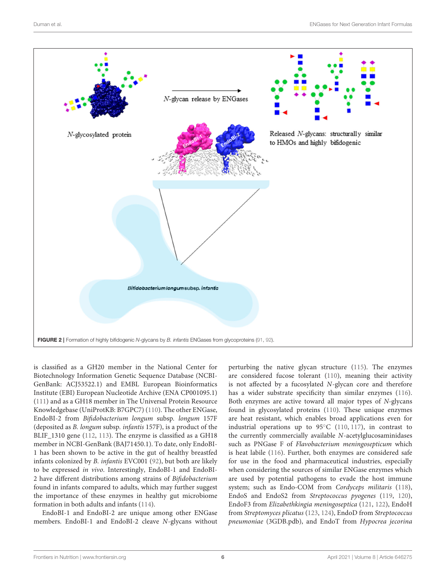

<span id="page-7-0"></span>is classified as a GH20 member in the National Center for Biotechnology Information Genetic Sequence Database (NCBI-GenBank: ACJ53522.1) and EMBL European Bioinformatics Institute (EBI) European Nucleotide Archive (ENA CP001095.1) [\(111\)](#page-12-14) and as a GH18 member in The Universal Protein Resource Knowledgebase (UniProtKB: B7GPC7) [\(110\)](#page-12-13). The other ENGase, EndoBI-2 from Bifidobacterium longum subsp. longum 157F (deposited as B. longum subsp. infantis 157F), is a product of the BLIF\_1310 gene [\(112,](#page-12-15) [113\)](#page-12-16). The enzyme is classified as a GH18 member in NCBI-GenBank (BAJ71450.1). To date, only EndoBI-1 has been shown to be active in the gut of healthy breastfed infants colonized by B. infantis EVC001 [\(92\)](#page-11-34), but both are likely to be expressed in vivo. Interestingly, EndoBI-1 and EndoBI-2 have different distributions among strains of Bifidobacterium found in infants compared to adults, which may further suggest the importance of these enzymes in healthy gut microbiome formation in both adults and infants [\(114\)](#page-12-17).

EndoBI-1 and EndoBI-2 are unique among other ENGase members. EndoBI-1 and EndoBI-2 cleave N-glycans without perturbing the native glycan structure [\(115\)](#page-12-18). The enzymes are considered fucose tolerant [\(110\)](#page-12-13), meaning their activity is not affected by a fucosylated N-glycan core and therefore has a wider substrate specificity than similar enzymes [\(116\)](#page-12-19). Both enzymes are active toward all major types of N-glycans found in glycosylated proteins [\(110\)](#page-12-13). These unique enzymes are heat resistant, which enables broad applications even for industrial operations up to  $95^{\circ}$ C [\(110,](#page-12-13) [117\)](#page-12-20), in contrast to the currently commercially available N-acetylglucosaminidases such as PNGase F of Flavobacterium meningosepticum which is heat labile [\(116\)](#page-12-19). Further, both enzymes are considered safe for use in the food and pharmaceutical industries, especially when considering the sources of similar ENGase enzymes which are used by potential pathogens to evade the host immune system; such as Endo-COM from Cordyceps militaris [\(118\)](#page-12-21), EndoS and EndoS2 from Streptococcus pyogenes [\(119,](#page-12-22) [120\)](#page-12-23), EndoF3 from Elizabethkingia meningoseptica [\(121,](#page-12-24) [122\)](#page-12-25), EndoH from Streptomyces plicatus [\(123,](#page-12-26) [124\)](#page-12-27), EndoD from Streptococcus pneumoniae (3GDB.pdb), and EndoT from Hypocrea jecorina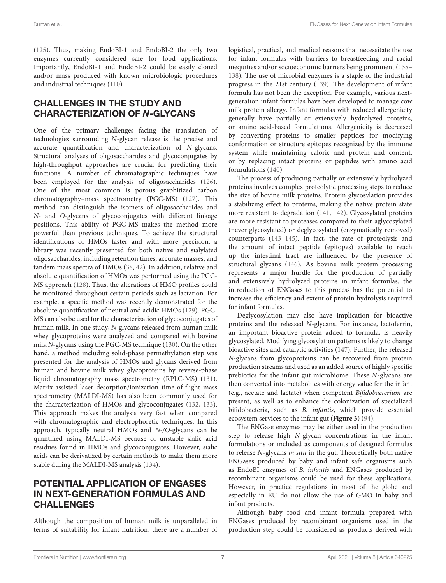[\(125\)](#page-12-28). Thus, making EndoBI-1 and EndoBI-2 the only two enzymes currently considered safe for food applications. Importantly, EndoBI-1 and EndoBI-2 could be easily cloned and/or mass produced with known microbiologic procedures and industrial techniques [\(110\)](#page-12-13).

## CHALLENGES IN THE STUDY AND CHARACTERIZATION OF N-GLYCANS

One of the primary challenges facing the translation of technologies surrounding N-glycan release is the precise and accurate quantification and characterization of N-glycans. Structural analyses of oligosaccharides and glycoconjugates by high-throughput approaches are crucial for predicting their functions. A number of chromatographic techniques have been employed for the analysis of oligosaccharides [\(126\)](#page-12-29). One of the most common is porous graphitized carbon chromatography–mass spectrometry (PGC-MS) [\(127\)](#page-12-30). This method can distinguish the isomers of oligosaccharides and N- and O-glycans of glycoconjugates with different linkage positions. This ability of PGC-MS makes the method more powerful than previous techniques. To achieve the structural identifications of HMOs faster and with more precision, a library was recently presented for both native and sialylated oligosaccharides, including retention times, accurate masses, and tandem mass spectra of HMOs [\(38,](#page-10-21) [42\)](#page-10-25). In addition, relative and absolute quantification of HMOs was performed using the PGC-MS approach [\(128\)](#page-12-31). Thus, the alterations of HMO profiles could be monitored throughout certain periods such as lactation. For example, a specific method was recently demonstrated for the absolute quantification of neutral and acidic HMOs [\(129\)](#page-12-32). PGC-MS can also be used for the characterization of glycoconjugates of human milk. In one study, N-glycans released from human milk whey glycoproteins were analyzed and compared with bovine milk N-glycans using the PGC-MS technique [\(130\)](#page-12-33). On the other hand, a method including solid-phase permethylation step was presented for the analysis of HMOs and glycans derived from human and bovine milk whey glycoproteins by reverse-phase liquid chromatography mass spectrometry (RPLC-MS) [\(131\)](#page-12-34). Matrix-assisted laser desorption/ionization time-of-flight mass spectrometry (MALDI-MS) has also been commonly used for the characterization of HMOs and glycoconjugates [\(132,](#page-12-35) [133\)](#page-12-36). This approach makes the analysis very fast when compared with chromatographic and electrophoretic techniques. In this approach, typically neutral HMOs and N-/O-glycans can be quantified using MALDI-MS because of unstable sialic acid residues found in HMOs and glycoconjugates. However, sialic acids can be derivatized by certain methods to make them more stable during the MALDI-MS analysis [\(134\)](#page-12-37).

#### POTENTIAL APPLICATION OF ENGASES IN NEXT-GENERATION FORMULAS AND **CHALLENGES**

Although the composition of human milk is unparalleled in terms of suitability for infant nutrition, there are a number of logistical, practical, and medical reasons that necessitate the use for infant formulas with barriers to breastfeeding and racial inequities and/or socioeconomic barriers being prominent [\(135–](#page-12-38) [138\)](#page-13-0). The use of microbial enzymes is a staple of the industrial progress in the 21st century [\(139\)](#page-13-1). The development of infant formula has not been the exception. For example, various nextgeneration infant formulas have been developed to manage cow milk protein allergy. Infant formulas with reduced allergenicity generally have partially or extensively hydrolyzed proteins, or amino acid-based formulations. Allergenicity is decreased by converting proteins to smaller peptides for modifying conformation or structure epitopes recognized by the immune system while maintaining caloric and protein and content, or by replacing intact proteins or peptides with amino acid formulations [\(140\)](#page-13-2).

The process of producing partially or extensively hydrolyzed proteins involves complex proteolytic processing steps to reduce the size of bovine milk proteins. Protein glycosylation provides a stabilizing effect to proteins, making the native protein state more resistant to degradation [\(141,](#page-13-3) [142\)](#page-13-4). Glycosylated proteins are more resistant to proteases compared to their aglycosylated (never glycosylated) or deglycosylated (enzymatically removed) counterparts [\(143–](#page-13-5)[145\)](#page-13-6). In fact, the rate of proteolysis and the amount of intact peptide (epitopes) available to reach up the intestinal tract are influenced by the presence of structural glycans [\(146\)](#page-13-7). As bovine milk protein processing represents a major hurdle for the production of partially and extensively hydrolyzed proteins in infant formulas, the introduction of ENGases to this process has the potential to increase the efficiency and extent of protein hydrolysis required for infant formulas.

Deglycosylation may also have implication for bioactive proteins and the released N-glycans. For instance, lactoferrin, an important bioactive protein added to formula, is heavily glycosylated. Modifying glycosylation patterns is likely to change bioactive sites and catalytic activities [\(147\)](#page-13-8). Further, the released N-glycans from glycoproteins can be recovered from protein production streams and used as an added source of highly specific prebiotics for the infant gut microbiome. These N-glycans are then converted into metabolites with energy value for the infant (e.g., acetate and lactate) when competent Bifidobacterium are present, as well as to enhance the colonization of specialized bifidobacteria, such as B. infantis, which provide essential ecosystem services to the infant gut (**[Figure 3](#page-9-13)**) [\(94\)](#page-11-36).

The ENGase enzymes may be either used in the production step to release high N-glycan concentrations in the infant formulations or included as components of designed formulas to release N-glycans in situ in the gut. Theoretically both native ENGases produced by baby and infant safe organisms such as EndoBI enzymes of B. infantis and ENGases produced by recombinant organisms could be used for these applications. However, in practice regulations in most of the globe and especially in EU do not allow the use of GMO in baby and infant products.

Although baby food and infant formula prepared with ENGases produced by recombinant organisms used in the production step could be considered as products derived with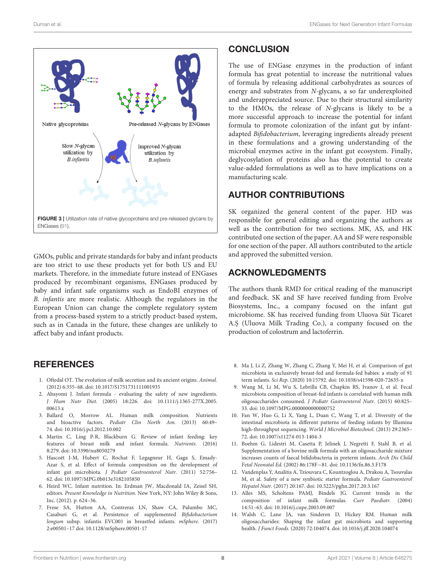

<span id="page-9-13"></span>GMOs, public and private standards for baby and infant products are too strict to use these products yet for both US and EU markets. Therefore, in the immediate future instead of ENGases produced by recombinant organisms, ENGases produced by baby and infant safe organisms such as EndoBI enzymes of B. infantis are more realistic. Although the regulators in the European Union can change the complete regulatory system from a process-based system to a strictly product-based system, such as in Canada in the future, these changes are unlikely to affect baby and infant products.

#### **REFERENCES**

- <span id="page-9-0"></span>1. Oftedal OT. The evolution of milk secretion and its ancient origins. Animal. (2012) 6:355–68. doi: [10.1017/S1751731111001935](https://doi.org/10.1017/S1751731111001935)
- <span id="page-9-1"></span>2. Abayomi J. Infant formula - evaluating the safety of new ingredients. J Hum Nutr Diet. [\(2005\) 18:226. doi: 10.1111/j.1365-277X.2005.](https://doi.org/10.1111/j.1365-277X.2005.00613.x) 00613.x
- <span id="page-9-2"></span>3. Ballard O, Morrow AL. Human milk composition. Nutrients and bioactive factors. Pediatr Clin North Am. (2013) 60:49– 74. doi: [10.1016/j.pcl.2012.10.002](https://doi.org/10.1016/j.pcl.2012.10.002)
- <span id="page-9-3"></span>4. Martin C, Ling P-R, Blackburn G. Review of infant feeding: key features of breast milk and infant formula. Nutrients. (2016) 8:279. doi: [10.3390/nu8050279](https://doi.org/10.3390/nu8050279)
- 5. Hascoët J-M, Hubert C, Rochat F, Legagneur H, Gaga S, Emady-Azar S, et al. Effect of formula composition on the development of infant gut microbiota. J Pediatr Gastroenterol Nutr. (2011) 52:756– 62. doi: [10.1097/MPG.0b013e3182105850](https://doi.org/10.1097/MPG.0b013e3182105850)
- <span id="page-9-4"></span>6. Heird WC. Infant nutrition. In: Erdman JW, Macdonald IA, Zeisel SH, editors. Present Knowledge in Nutrition. New York, NY: John Wiley & Sons, Inc. (2012). p. 624–36.
- <span id="page-9-5"></span>7. Frese SA, Hutton AA, Contreras LN, Shaw CA, Palumbo MC, Casaburi G, et al. Persistence of supplemented Bifidobacterium longum subsp. infantis EVC001 in breastfed infants. mSphere. (2017) 2:e00501–17 doi: [10.1128/mSphere.00501-17](https://doi.org/10.1128/mSphere.00501-17)

#### **CONCLUSION**

The use of ENGase enzymes in the production of infant formula has great potential to increase the nutritional values of formula by releasing additional carbohydrates as sources of energy and substrates from N-glycans, a so far underexploited and underappreciated source. Due to their structural similarity to the HMOs, the release of N-glycans is likely to be a more successful approach to increase the potential for infant formula to promote colonization of the infant gut by infantadapted Bifidobacterium, leveraging ingredients already present in these formulations and a growing understanding of the microbial enzymes active in the infant gut ecosystem. Finally, deglycosylation of proteins also has the potential to create value-added formulations as well as to have implications on a manufacturing scale.

### AUTHOR CONTRIBUTIONS

SK organized the general content of the paper. HD was responsible for general editing and organizing the authors as well as the contribution for two sections. MK, AS, and HK contributed one section of the paper. AA and SF were responsible for one section of the paper. All authors contributed to the article and approved the submitted version.

#### ACKNOWLEDGMENTS

The authors thank RMD for critical reading of the manuscript and feedback. SK and SF have received funding from Evolve Biosystems, Inc., a company focused on the infant gut microbiome. SK has received funding from Uluova Süt Ticaret A.Ş (Uluova Milk Trading Co.), a company focused on the production of colostrum and lactoferrin.

- <span id="page-9-7"></span>8. Ma J, Li Z, Zhang W, Zhang C, Zhang Y, Mei H, et al. Comparison of gut microbiota in exclusively breast-fed and formula-fed babies: a study of 91 term infants. Sci Rep. (2020) 10:15792. doi: [10.1038/s41598-020-72635-x](https://doi.org/10.1038/s41598-020-72635-x)
- <span id="page-9-6"></span>9. Wang M, Li M, Wu S, Lebrilla CB, Chapkin RS, Ivanov I, et al. Fecal microbiota composition of breast-fed infants is correlated with human milk oligosaccharides consumed. J Pediatr Gastroenterol Nutr. (2015) 60:825– 33. doi: [10.1097/MPG.0000000000000752](https://doi.org/10.1097/MPG.0000000000000752)
- <span id="page-9-8"></span>10. Fan W, Huo G, Li X, Yang L, Duan C, Wang T, et al. Diversity of the intestinal microbiota in different patterns of feeding infants by Illumina high-throughput sequencing. World J Microbiol Biotechnol. (2013) 29:2365– 72. doi: [10.1007/s11274-013-1404-3](https://doi.org/10.1007/s11274-013-1404-3)
- <span id="page-9-9"></span>11. Boehm G, Lidestri M, Casetta P, Jelinek J, Negretti F, Stahl B, et al. Supplementation of a bovine milk formula with an oligosaccharide mixture increases counts of faecal bifidobacteria in preterm infants. Arch Dis Child Fetal Neonatal Ed. (2002) 86:178F−81. doi: [10.1136/fn.86.3.F178](https://doi.org/10.1136/fn.86.3.F178)
- <span id="page-9-10"></span>12. Vandenplas Y, Analitis A, Tziouvara C, Kountzoglou A, Drakou A, Tsouvalas M, et al. Safety of a new synbiotic starter formula. Pediatr Gastroenterol Hepatol Nutr. (2017) 20:167. doi: [10.5223/pghn.2017.20.3.167](https://doi.org/10.5223/pghn.2017.20.3.167)
- <span id="page-9-11"></span>13. Alles MS, Scholtens PAMJ, Bindels JG. Current trends in the composition of infant milk formulas. Curr Paediatr. (2004) 14:51–63. doi: [10.1016/j.cupe.2003.09.007](https://doi.org/10.1016/j.cupe.2003.09.007)
- <span id="page-9-12"></span>14. Walsh C, Lane JA, van Sinderen D, Hickey RM. Human milk oligosaccharides: Shaping the infant gut microbiota and supporting health. J Funct Foods. (2020) 72:104074. doi: [10.1016/j.jff.2020.104074](https://doi.org/10.1016/j.jff.2020.104074)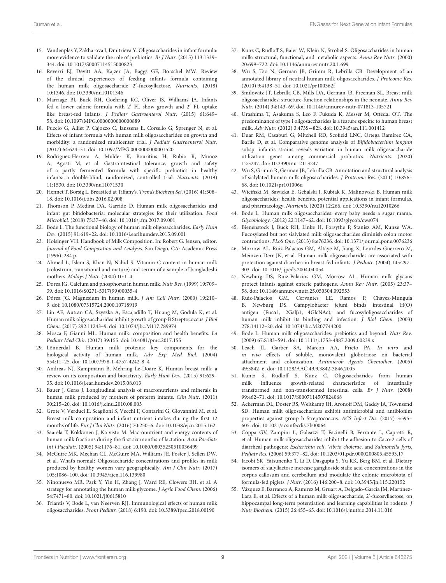- <span id="page-10-0"></span>15. Vandenplas Y, Zakharova I, Dmitrieva Y. Oligosaccharides in infant formula: more evidence to validate the role of prebiotics. Br J Nutr. (2015) 113:1339– 344. doi: [10.1017/S0007114515000823](https://doi.org/10.1017/S0007114515000823)
- <span id="page-10-1"></span>16. Reverri EJ, Devitt AA, Kajzer JA, Baggs GE, Borschel MW. Review of the clinical experiences of feeding infants formula containing the human milk oligosaccharide 2′ -fucosyllactose. Nutrients. (2018) 10:1346. doi: [10.3390/nu10101346](https://doi.org/10.3390/nu10101346)
- 17. Marriage BJ, Buck RH, Goehring KC, Oliver JS, Williams JA. Infants fed a lower calorie formula with 2′ FL show growth and 2′ FL uptake like breast-fed infants. J Pediatr Gastroenterol Nutr. (2015) 61:649– 58. doi: [10.1097/MPG.0000000000000889](https://doi.org/10.1097/MPG.0000000000000889)
- 18. Puccio G, Alliet P, Cajozzo C, Janssens E, Corsello G, Sprenger N, et al. Effects of infant formula with human milk oligosaccharides on growth and morbidity: a randomized multicenter trial. J Pediatr Gastroenterol Nutr. (2017) 64:624–31. doi: [10.1097/MPG.0000000000001520](https://doi.org/10.1097/MPG.0000000000001520)
- <span id="page-10-2"></span>19. Rodriguez-Herrera A, Mulder K, Bouritius H, Rubio R, Muñoz A, Agosti M, et al. Gastrointestinal tolerance, growth and safety of a partly fermented formula with specific prebiotics in healthy infants: a double-blind, randomized, controlled trial. Nutrients. (2019) 11:1530. doi: [10.3390/nu11071530](https://doi.org/10.3390/nu11071530)
- <span id="page-10-3"></span>20. Hennet T, Borsig L. Breastfed at Tiffany's. Trends Biochem Sci. (2016) 41:508– 18. doi: [10.1016/j.tibs.2016.02.008](https://doi.org/10.1016/j.tibs.2016.02.008)
- <span id="page-10-4"></span>21. Thomson P, Medina DA, Garrido D. Human milk oligosaccharides and infant gut bifidobacteria: molecular strategies for their utilization. Food Microbiol. (2018) 75:37–46. doi: [10.1016/j.fm.2017.09.001](https://doi.org/10.1016/j.fm.2017.09.001)
- <span id="page-10-5"></span>22. Bode L. The functional biology of human milk oligosaccharides. Early Hum Dev. (2015) 91:619–22. doi: [10.1016/j.earlhumdev.2015.09.001](https://doi.org/10.1016/j.earlhumdev.2015.09.001)
- <span id="page-10-7"></span>23. Holsinger VH. Handbook of Milk Composition. In: Robert G. Jensen, editor. Journal of Food Composition and Analysis. San Diego, CA: Academic Press (1996). 284 p.
- <span id="page-10-8"></span>24. Ahmed L, Islam S, Khan N, Nahid S. Vitamin C content in human milk (colostrum, transitional and mature) and serum of a sample of bangladeshi mothers. Malays J Nutr. (2004) 10:1–4.
- <span id="page-10-9"></span>25. Dorea JG. Calcium and phosphorus in human milk. Nutr Res. (1999) 19:709– 39. doi: [10.1016/S0271-5317\(99\)00035-4](https://doi.org/10.1016/S0271-5317(99)00035-4)
- <span id="page-10-10"></span>26. Dórea JG. Magnesium in human milk. J Am Coll Nutr. (2000) 19:210– 9. doi: [10.1080/07315724.2000.10718919](https://doi.org/10.1080/07315724.2000.10718919)
- <span id="page-10-11"></span>27. Lin AE, Autran CA, Szyszka A, Escajadillo T, Huang M, Godula K, et al. Human milk oligosaccharides inhibit growth of group B Streptococcus. J Biol Chem. (2017) 292:11243–9. doi: [10.1074/jbc.M117.789974](https://doi.org/10.1074/jbc.M117.789974)
- <span id="page-10-6"></span>28. Mosca F, Giannì ML. Human milk: composition and health benefits. La Pediatr Med Chir. (2017) 39:155. doi: [10.4081/pmc.2017.155](https://doi.org/10.4081/pmc.2017.155)
- <span id="page-10-12"></span>29. Lönnerdal B. Human milk proteins: key components for the biological activity of human milk. Adv Exp Med Biol. (2004) 554:11–25. doi: [10.1007/978-1-4757-4242-8\\_4](https://doi.org/10.1007/978-1-4757-4242-8_4)
- <span id="page-10-13"></span>30. Andreas NJ, Kampmann B, Mehring Le-Doare K. Human breast milk: a review on its composition and bioactivity. Early Hum Dev. (2015) 91:629– 35. doi: [10.1016/j.earlhumdev.2015.08.013](https://doi.org/10.1016/j.earlhumdev.2015.08.013)
- <span id="page-10-14"></span>31. Bauer J, Gerss J. Longitudinal analysis of macronutrients and minerals in human milk produced by mothers of preterm infants. Clin Nutr. (2011) 30:215–20. doi: [10.1016/j.clnu.2010.08.003](https://doi.org/10.1016/j.clnu.2010.08.003)
- <span id="page-10-15"></span>32. Grote V, Verduci E, Scaglioni S, Vecchi F, Contarini G, Giovannini M, et al. Breast milk composition and infant nutrient intakes during the first 12 months of life. Eur J Clin Nutr. (2016) 70:250–6. doi: [10.1038/ejcn.2015.162](https://doi.org/10.1038/ejcn.2015.162)
- <span id="page-10-16"></span>33. Saarela T, Kokkonen J, Koivisto M. Macronutrient and energy contents of human milk fractions during the first six months of lactation. Acta Paediatr Int J Paediatr. (2005) 94:1176–81. doi: [10.1080/08035250510036499](https://doi.org/10.1080/08035250510036499)
- <span id="page-10-17"></span>34. McGuire MK, Meehan CL, McGuire MA, Williams JE, Foster J, Sellen DW, et al. What's normal? Oligosaccharide concentrations and profiles in milk produced by healthy women vary geographically. Am J Clin Nutr. (2017) 105:1086–100. doi: [10.3945/ajcn.116.139980](https://doi.org/10.3945/ajcn.116.139980)
- <span id="page-10-18"></span>35. Ninonuevo MR, Park Y, Yin H, Zhang J, Ward RE, Clowers BH, et al. A strategy for annotating the human milk glycome. J Agric Food Chem. (2006) 54:7471–80. doi: [10.1021/jf0615810](https://doi.org/10.1021/jf0615810)
- <span id="page-10-19"></span>36. Triantis V, Bode L, van Neerven RJJ. Immunological effects of human milk oligosaccharides. Front Pediatr. (2018) 6:190. doi: [10.3389/fped.2018.00190](https://doi.org/10.3389/fped.2018.00190)
- <span id="page-10-20"></span>37. Kunz C, Rudloff S, Baier W, Klein N, Strobel S. Oligosaccharides in human milk: structural, functional, and metabolic aspects. Annu Rev Nutr. (2000) 20:699–722. doi: [10.1146/annurev.nutr.20.1.699](https://doi.org/10.1146/annurev.nutr.20.1.699)
- <span id="page-10-21"></span>38. Wu S, Tao N, German JB, Grimm R, Lebrilla CB. Development of an annotated library of neutral human milk oligosaccharides. J Proteome Res. (2010) 9:4138–51. doi: [10.1021/pr100362f](https://doi.org/10.1021/pr100362f)
- <span id="page-10-22"></span>39. Smilowitz JT, Lebrilla CB, Mills DA, German JB, Freeman SL. Breast milk oligosaccharides: structure-function relationships in the neonate. Annu Rev Nutr. (2014) 34:143–69. doi: [10.1146/annurev-nutr-071813-105721](https://doi.org/10.1146/annurev-nutr-071813-105721)
- <span id="page-10-23"></span>40. Urashima T, Asakuma S, Leo F, Fukuda K, Messer M, Oftedal OT. The predominance of type i oligosaccharides is a feature specific to human breast milk. Adv Nutr. (2012) 3:473S−82S. doi: [10.3945/an.111.001412](https://doi.org/10.3945/an.111.001412)
- <span id="page-10-24"></span>41. Duar RM, Casaburi G, Mitchell RD, Scofield LNC, Ortega Ramirez CA, Barile D, et al. Comparative genome analysis of Bifidobacterium longum subsp. infantis strains reveals variation in human milk oligosaccharide utilization genes among commercial probiotics. Nutrients. (2020) 12:3247. doi: [10.3390/nu12113247](https://doi.org/10.3390/nu12113247)
- <span id="page-10-25"></span>42. Wu S, Grimm R, German JB, Lebrilla CB. Annotation and structural analysis of sialylated human milk oligosaccharides. J Proteome Res. (2011) 10:856– 68. doi: [10.1021/pr101006u](https://doi.org/10.1021/pr101006u)
- <span id="page-10-26"></span>43. Wicinski M, Sawicka E, Gebalski J, Kubiak K, Malinowski B. Human milk ´ oligosaccharides: health benefits, potential applications in infant formulas, and pharmacology. Nutrients. (2020) 12:266. doi: [10.3390/nu12010266](https://doi.org/10.3390/nu12010266)
- 44. Bode L. Human milk oligosaccharides: every baby needs a sugar mama. Glycobiology. (2012) 22:1147–62. doi: [10.1093/glycob/cws074](https://doi.org/10.1093/glycob/cws074)
- <span id="page-10-27"></span>45. Bienenstock J, Buck RH, Linke H, Forsythe P, Stanisz AM, Kunze WA. Fucosylated but not sialylated milk oligosaccharides diminish colon motor contractions. PLoS One. (2013) 8:e76236. doi: [10.1371/journal.pone.0076236](https://doi.org/10.1371/journal.pone.0076236)
- <span id="page-10-28"></span>46. Morrow AL, Ruiz-Palacios GM, Altaye M, Jiang X, Lourdes Guerrero M, Meinzen-Derr JK, et al. Human milk oligosaccharides are associated with protection against diarrhea in breast-fed infants. J Pediatr. (2004) 145:297– 303. doi: [10.1016/j.jpeds.2004.04.054](https://doi.org/10.1016/j.jpeds.2004.04.054)
- <span id="page-10-29"></span>47. Newburg DS, Ruiz-Palacios GM, Morrow AL. Human milk glycans protect infants against enteric pathogens. Annu Rev Nutr. (2005) 23:37– 58. doi: [10.1146/annurev.nutr.25.050304.092553](https://doi.org/10.1146/annurev.nutr.25.050304.092553)
- <span id="page-10-30"></span>48. Ruiz-Palacios GM, Cervantes LE, Ramos P, Chavez-Munguia B, Newburg DS. Campylobacter jejuni binds intestinal H(O) antigen (Fucα1, 2Galβ1, 4GlcNAc), and fucosyloligosaccharides of human milk inhibit its binding and infection. J Biol Chem. (2003) 278:14112–20. doi: [10.1074/jbc.M207744200](https://doi.org/10.1074/jbc.M207744200)
- 49. Bode L. Human milk oligosaccharides: prebiotics and beyond. Nutr Rev. (2009) 67:S183–S91. doi: [10.1111/j.1753-4887.2009.00239.x](https://doi.org/10.1111/j.1753-4887.2009.00239.x)
- <span id="page-10-31"></span>50. Leach JL, Garber SA, Marcon AA, Prieto PA. In vitro and in vivo effects of soluble, monovalent globotriose on bacterial attachment and colonization. Antimicrob Agents Chemother. (2005) 49:3842–6. doi: [10.1128/AAC.49.9.3842-3846.2005](https://doi.org/10.1128/AAC.49.9.3842-3846.2005)
- <span id="page-10-32"></span>51. Kuntz S, Rudloff S, Kunz C. Oligosaccharides from human milk influence growth-related characteristics of intestinally transformed and non-transformed intestinal cells. Br J Nutr. (2008) 99:462–71. doi: [10.1017/S0007114507824068](https://doi.org/10.1017/S0007114507824068)
- <span id="page-10-33"></span>52. Ackerman DL, Doster RS, Weitkamp JH, Aronoff DM, Gaddy JA, Townsend SD. Human milk oligosaccharides exhibit antimicrobial and antibiofilm properties against group b Streptococcus. ACS Infect Dis. (2017) 3:595– 605. doi: [10.1021/acsinfecdis.7b00064](https://doi.org/10.1021/acsinfecdis.7b00064)
- <span id="page-10-34"></span>53. Coppa GV, Zampini L, Galeazzi T, Facinelli B, Ferrante L, Capretti R, et al. Human milk oligosaccharides inhibit the adhesion to Caco-2 cells of diarrheal pathogens: Escherichia coli, Vibrio cholerae, and Salmonella fyris. Pediatr Res. (2006) 59:377–82. doi: [10.1203/01.pdr.0000200805.45593.17](https://doi.org/10.1203/01.pdr.0000200805.45593.17)
- <span id="page-10-35"></span>54. Jacobi SK, Yatsunenko T, Li D, Dasgupta S, Yu RK, Berg BM, et al. Dietary isomers of sialyllactose increase ganglioside sialic acid concentrations in the corpus callosum and cerebellum and modulate the colonic microbiota of formula-fed piglets. J Nutr. (2016) 146:200–8. doi: [10.3945/jn.115.220152](https://doi.org/10.3945/jn.115.220152)
- <span id="page-10-36"></span>55. Vázquez E, Barranco A, Ramírez M, Gruart A, Delgado-García JM, Martínez-Lara E, et al. Effects of a human milk oligosaccharide, 2'-fucosyllactose, on hippocampal long-term potentiation and learning capabilities in rodents. J Nutr Biochem. (2015) 26:455–65. doi: [10.1016/j.jnutbio.2014.11.016](https://doi.org/10.1016/j.jnutbio.2014.11.016)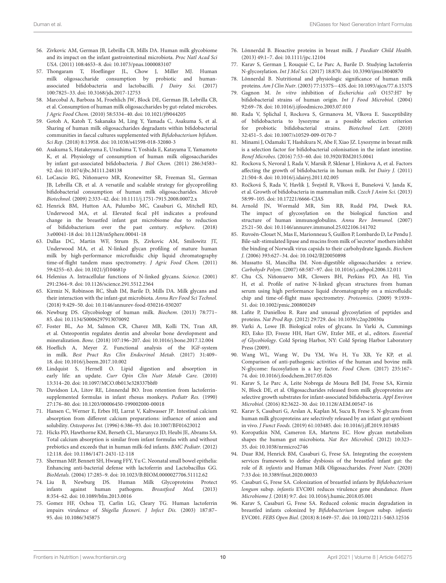- <span id="page-11-0"></span>56. Zivkovic AM, German JB, Lebrilla CB, Mills DA. Human milk glycobiome and its impact on the infant gastrointestinal microbiota. Proc Natl Acad Sci USA. (2011) 108:4653–8. doi: [10.1073/pnas.1000083107](https://doi.org/10.1073/pnas.1000083107)
- <span id="page-11-1"></span>57. Thongaram T, Hoeflinger JL, Chow J, Miller MJ. Human milk oligosaccharide consumption by probiotic and humanassociated bifidobacteria and lactobacilli. J Dairy Sci. (2017) 100:7825–33. doi: [10.3168/jds.2017-12753](https://doi.org/10.3168/jds.2017-12753)
- <span id="page-11-2"></span>58. Marcobal A, Barboza M, Froehlich JW, Block DE, German JB, Lebrilla CB, et al. Consumption of human milk oligosaccharides by gut-related microbes. J Agric Food Chem. (2010) 58:5334–40. doi: [10.1021/jf9044205](https://doi.org/10.1021/jf9044205)
- 59. Gotoh A, Katoh T, Sakanaka M, Ling Y, Yamada C, Asakuma S, et al. Sharing of human milk oligosaccharides degradants within bifidobacterial communities in faecal cultures supplemented with Bifidobacterium bifidum. Sci Rep. (2018) 8:13958. doi: [10.1038/s41598-018-32080-3](https://doi.org/10.1038/s41598-018-32080-3)
- 60. Asakuma S, Hatakeyama E, Urashima T, Yoshida E, Katayama T, Yamamoto K, et al. Physiology of consumption of human milk oligosaccharides by infant gut-associated bifidobacteria. J Biol Chem. (2011) 286:34583– 92. doi: [10.1074/jbc.M111.248138](https://doi.org/10.1074/jbc.M111.248138)
- <span id="page-11-3"></span>61. LoCascio RG, Niñonuevo MR, Kronewitter SR, Freeman SL, German JB, Lebrilla CB, et al. A versatile and scalable strategy for glycoprofiling bifidobacterial consumption of human milk oligosaccharides. Microb Biotechnol. (2009) 2:333–42. doi: [10.1111/j.1751-7915.2008.00072.x](https://doi.org/10.1111/j.1751-7915.2008.00072.x)
- <span id="page-11-4"></span>62. Henrick BM, Hutton AA, Palumbo MC, Casaburi G, Mitchell RD, Underwood MA, et al. Elevated fecal pH indicates a profound change in the breastfed infant gut microbiome due to reduction of bifidobacterium over the past century. mSphere. (2018) 3:e00041-18 doi: [10.1128/mSphere.00041-18](https://doi.org/10.1128/mSphere.00041-18)
- <span id="page-11-5"></span>63. Dallas DC, Martin WF, Strum JS, Zivkovic AM, Smilowitz JT, Underwood MA, et al. N-linked glycan profiling of mature human milk by high-performance microfluidic chip liquid chromatography time-of-flight tandem mass spectrometry. J Agric Food Chem. (2011) 59:4255–63. doi: [10.1021/jf104681p](https://doi.org/10.1021/jf104681p)
- <span id="page-11-6"></span>64. Helenius A. Intracellular functions of N-linked glycans. Science. (2001) 291:2364–9. doi: [10.1126/science.291.5512.2364](https://doi.org/10.1126/science.291.5512.2364)
- <span id="page-11-7"></span>65. Kirmiz N, Robinson RC, Shah IM, Barile D, Mills DA. Milk glycans and their interaction with the infant-gut microbiota. Annu Rev Food Sci Technol. (2018) 9:429–50. doi: [10.1146/annurev-food-030216-030207](https://doi.org/10.1146/annurev-food-030216-030207)
- <span id="page-11-8"></span>66. Newburg DS. Glycobiology of human milk. Biochem. (2013) 78:771– 85. doi: [10.1134/S0006297913070092](https://doi.org/10.1134/S0006297913070092)
- <span id="page-11-9"></span>67. Foster BL, Ao M, Salmon CR, Chavez MB, Kolli TN, Tran AB, et al. Osteopontin regulates dentin and alveolar bone development and mineralization. Bone. (2018) 107:196–207. doi: [10.1016/j.bone.2017.12.004](https://doi.org/10.1016/j.bone.2017.12.004)
- <span id="page-11-10"></span>68. Hoeflich A, Meyer Z. Functional analysis of the IGF-system in milk. Best Pract Res Clin Endocrinol Metab. (2017) 31:409– 18. doi: [10.1016/j.beem.2017.10.002](https://doi.org/10.1016/j.beem.2017.10.002)
- <span id="page-11-11"></span>69. Lindquist S, Hernell O. Lipid digestion and absorption in early life: an update. Curr Opin Clin Nutr Metab Care. (2010) 13:314–20. doi: [10.1097/MCO.0b013e328337bbf0](https://doi.org/10.1097/MCO.0b013e328337bbf0)
- <span id="page-11-12"></span>70. Davidson LA, Litov RE, Lönnerdal BO. Iron retention from lactoferrinsupplemented formulas in infant rhesus monkeys. Pediatr Res. (1990) 27:176–80. doi: [10.1203/00006450-199002000-00018](https://doi.org/10.1203/00006450-199002000-00018)
- <span id="page-11-13"></span>71. Hansen C, Werner E, Erbes HJ, Larrat V, Kaltwasser JP. Intestinal calcium absorption from different calcium preparations: influence of anion and solubility. Osteoporos Int. (1996) 6:386–93. doi: [10.1007/BF01623012](https://doi.org/10.1007/BF01623012)
- <span id="page-11-14"></span>72. Hicks PD, Hawthorne KM, Berseth CL, Marunycz JD, Heubi JE, Abrams SA. Total calcium absorption is similar from infant formulas with and without prebiotics and exceeds that in human milk-fed infants. BMC Pediatr. (2012) 12:118. doi: [10.1186/1471-2431-12-118](https://doi.org/10.1186/1471-2431-12-118)
- <span id="page-11-15"></span>73. Sherman MP, Bennett SH, Hwang FFY, Yu C. Neonatal small bowel epithelia: Enhancing anti-bacterial defense with lactoferrin and Lactobacillus GG. BioMetals. (2004) 17:285–9. doi: [10.1023/B:BIOM.0000027706.51112.62](https://doi.org/10.1023/B:BIOM.0000027706.51112.62)
- <span id="page-11-25"></span>74. Liu B, Newburg DS. Human Milk Glycoproteins Protect infants against human pathogens. Breastfeed Med. (2013) 8:354–62. doi: [10.1089/bfm.2013.0016](https://doi.org/10.1089/bfm.2013.0016)
- <span id="page-11-16"></span>75. Gomez HF, Ochoa TJ, Carlin LG, Cleary TG. Human lactoferrin impairs virulence of Shigella flexneri. J Infect Dis. (2003) 187:87– 95. doi: [10.1086/345875](https://doi.org/10.1086/345875)
- <span id="page-11-17"></span>76. Lönnerdal B. Bioactive proteins in breast milk. J Paediatr Child Health. (2013) 49:1–7. doi: [10.1111/jpc.12104](https://doi.org/10.1111/jpc.12104)
- <span id="page-11-18"></span>77. Karav S, German J, Rouquié C, Le Parc A, Barile D. Studying lactoferrin N-glycosylation. Int J Mol Sci. (2017) 18:870. doi: [10.3390/ijms18040870](https://doi.org/10.3390/ijms18040870)
- <span id="page-11-19"></span>78. Lönnerdal B. Nutritional and physiologic significance of human milk proteins. Am J Clin Nutr. (2003) 77:1537S−43S. doi: [10.1093/ajcn/77.6.1537S](https://doi.org/10.1093/ajcn/77.6.1537S)
- <span id="page-11-20"></span>79. Gagnon M. In vitro inhibition of Escherichia coli O157:H7 by bifidobacterial strains of human origin. Int J Food Microbiol. (2004) 92:69–78. doi: [10.1016/j.ijfoodmicro.2003.07.010](https://doi.org/10.1016/j.ijfoodmicro.2003.07.010)
- <span id="page-11-21"></span>80. Rada V, Splichal I, Rockova S, Grmanova M, Vlkova E. Susceptibility of bifidobacteria to lysozyme as a possible selection criterion for probiotic bifidobacterial strains. Biotechnol Lett. (2010) 32:451–5. doi: [10.1007/s10529-009-0170-7](https://doi.org/10.1007/s10529-009-0170-7)
- <span id="page-11-22"></span>81. Minami J, Odamaki T, Hashikura N, Abe F, Xiao JZ. Lysozyme in breast milk is a selection factor for bifidobacterial colonisation in the infant intestine. Benef Microbes. (2016) 7:53–60. doi: [10.3920/BM2015.0041](https://doi.org/10.3920/BM2015.0041)
- <span id="page-11-23"></span>82. Rockova S, Nevoral J, Rada V, Marsik P, Sklenar J, Hinkova A, et al. Factors affecting the growth of bifidobacteria in human milk. Int Dairy J. (2011) 21:504–8. doi: [10.1016/j.idairyj.2011.02.005](https://doi.org/10.1016/j.idairyj.2011.02.005)
- <span id="page-11-24"></span>83. Ročková Š, Rada V, Havlík J, Švejstil R, Vlková E, Bunešová V, Janda K, et al. Growth of bifidobacteria in mammalian milk. Czech J Anim Sci. (2013) 58:99–105. doi: [10.17221/6666-CJAS](https://doi.org/10.17221/6666-CJAS)
- <span id="page-11-26"></span>84. Arnold JN, Wormald MR, Sim RB, Rudd PM, Dwek RA. The impact of glycosylation on the biological function and structure of human immunoglobulins. Annu Rev Immunol. (2007) 25:21–50. doi: [10.1146/annurev.immunol.25.022106.141702](https://doi.org/10.1146/annurev.immunol.25.022106.141702)
- <span id="page-11-27"></span>85. Ruvoën-Clouet N, Mas E, Marionneau S, Guillon P, Lombardo D, Le Pendu J. Bile-salt-stimulated lipase and mucins from milk of 'secretor' mothers inhibit the binding of Norwalk virus capsids to their carbohydrate ligands. Biochem J. (2006) 393:627–34. doi: [10.1042/BJ20050898](https://doi.org/10.1042/BJ20050898)
- <span id="page-11-31"></span>86. Mussatto SI, Mancilha IM. Non-digestible oligosaccharides: a review. Carbohydr Polym. (2007) 68:587–97. doi: [10.1016/j.carbpol.2006.12.011](https://doi.org/10.1016/j.carbpol.2006.12.011)
- <span id="page-11-28"></span>87. Chu CS, Niñonuevo MR, Clowers BH, Perkins PD, An HJ, Yin H, et al. Profile of native N-linked glycan structures from human serum using high performance liquid chromatography on a microfluidic chip and time-of-flight mass spectrometry. Proteomics. (2009) 9:1939– 51. doi: [10.1002/pmic.200800249](https://doi.org/10.1002/pmic.200800249)
- <span id="page-11-29"></span>88. Lafite P, Daniellou R. Rare and unusual glycosylation of peptides and proteins. Nat Prod Rep. (2012) 29:729. doi: [10.1039/c2np20030a](https://doi.org/10.1039/c2np20030a)
- <span id="page-11-30"></span>89. Varki A, Lowe JB. Biological roles of glycans. In Varki A, Cummings RD, Esko JD, Freeze HH, Hart GW, Etzler ME, et al., editors. Essential of Glycobiology. Cold Spring Harbor, NY: Cold Spring Harbor Laboratory Press (2009).
- <span id="page-11-32"></span>90. Wang WL, Wang W, Du YM, Wu H, Yu XB, Ye KP, et al. Comparison of anti-pathogenic activities of the human and bovine milk N-glycome: fucosylation is a key factor. Food Chem. (2017) 235:167– 74. doi: [10.1016/j.foodchem.2017.05.026](https://doi.org/10.1016/j.foodchem.2017.05.026)
- <span id="page-11-33"></span>91. Karav S, Le Parc A, Leite Nobrega de Moura Bell JM, Frese SA, Kirmiz N, Block DE, et al. Oligosaccharides released from milk glycoproteins are selective growth substrates for infant-associated bifidobacteria. Appl Environ Microbiol. (2016) 82:3622–30. doi: [10.1128/AEM.00547-16](https://doi.org/10.1128/AEM.00547-16)
- <span id="page-11-34"></span>92. Karav S, Casaburi G, Arslan A, Kaplan M, Sucu B, Frese S. N-glycans from human milk glycoproteins are selectively released by an infant gut symbiont in vivo. J Funct Foods. (2019) 61:103485. doi: [10.1016/j.jff.2019.103485](https://doi.org/10.1016/j.jff.2019.103485)
- <span id="page-11-35"></span>93. Koropatkin NM, Cameron EA, Martens EC. How glycan metabolism shapes the human gut microbiota. Nat Rev Microbiol. (2012) 10:323– 35. doi: [10.1038/nrmicro2746](https://doi.org/10.1038/nrmicro2746)
- <span id="page-11-36"></span>94. Duar RM, Henrick BM, Casaburi G, Frese SA. Integrating the ecosystem services framework to define dysbiosis of the breastfed infant gut: the role of B. infantis and Human Milk Oligosaccharides. Front Nutr. (2020) 7:33 doi: [10.3389/fnut.2020.00033](https://doi.org/10.3389/fnut.2020.00033)
- 95. Casaburi G, Frese SA. Colonization of breastfed infants by Bifidobacterium longum subsp. infantis EVC001 reduces virulence gene abundance. Hum Microbiome J. (2018) 9:7. doi: [10.1016/j.humic.2018.05.001](https://doi.org/10.1016/j.humic.2018.05.001)
- <span id="page-11-37"></span>96. Karav S, Casaburi G, Frese SA. Reduced colonic mucin degradation in breastfed infants colonized by Bifidobacterium longum subsp. infantis EVC001. FEBS Open Biol. (2018) 8:1649–57. doi: [10.1002/2211-5463.12516](https://doi.org/10.1002/2211-5463.12516)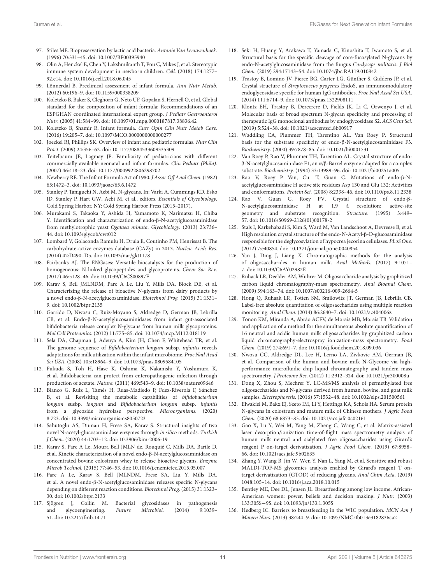- <span id="page-12-0"></span>97. Stiles ME. Biopreservation by lactic acid bacteria. Antonie Van Leeuwenhoek. (1996) 70:331–45. doi: [10.1007/BF00395940](https://doi.org/10.1007/BF00395940)
- <span id="page-12-1"></span>98. Olin A, Henckel E, Chen Y, Lakshmikanth T, Pou C, Mikes J, et al. Stereotypic immune system development in newborn children. Cell. (2018) 174:1277– 92.e14. doi: [10.1016/j.cell.2018.06.045](https://doi.org/10.1016/j.cell.2018.06.045)
- <span id="page-12-2"></span>99. Lönnerdal B. Preclinical assessment of infant formula. Ann Nutr Metab. (2012) 60:196–9. doi: [10.1159/000338209](https://doi.org/10.1159/000338209)
- <span id="page-12-4"></span>100. Koletzko B, Baker S, Cleghorn G, Neto UF, Gopalan S, Hernell O, et al. Global standard for the composition of infant formula: Recommendations of an ESPGHAN coordinated international expert group. J Pediatr Gastroenterol Nutr. (2005) 41:584–99. doi: [10.1097/01.mpg.0000187817.38836.42](https://doi.org/10.1097/01.mpg.0000187817.38836.42)
- <span id="page-12-5"></span>101. Koletzko B, Shamir R. Infant formula. Curr Opin Clin Nutr Metab Care. (2016) 19:205–7. doi: [10.1097/MCO.0000000000000277](https://doi.org/10.1097/MCO.0000000000000277)
- <span id="page-12-6"></span>102. Joeckel RJ, Phillips SK. Overview of infant and pediatric formulas. Nutr Clin Pract. (2009) 24:356–62. doi: [10.1177/0884533609335309](https://doi.org/10.1177/0884533609335309)
- <span id="page-12-7"></span>103. Teitelbaum JE, Lagmay JP. Familiarity of pediatricians with different commercially available neonatal and infant formulas. Clin Pediatr (Phila). (2007) 46:418–23. doi: [10.1177/0009922806298702](https://doi.org/10.1177/0009922806298702)
- <span id="page-12-3"></span>104. Newberry RE. The Infant Formula Act of 1980. J Assoc Off Anal Chem. (1982) 65:1472–3. doi: [10.1093/jaoac/65.6.1472](https://doi.org/10.1093/jaoac/65.6.1472)
- <span id="page-12-8"></span>105. Stanley P, Taniguchi N, Aebi M. N-glycans. In: Varki A, Cummings RD, Esko JD, Stanley P, Hart GW, Aebi M, et al., editors. Essentials of Glycobiology. Cold Spring Harbor, NY: Cold Spring Harbor Press (2015–2017).
- <span id="page-12-9"></span>106. Murakami S, Takaoka Y, Ashida H, Yamamoto K, Narimatsu H, Chiba Y. Identification and characterization of endo-β-N-acetylglucosaminidase from methylotrophic yeast Ogataea minuta. Glycobiology. (2013) 23:736– 44. doi: [10.1093/glycob/cwt012](https://doi.org/10.1093/glycob/cwt012)
- <span id="page-12-10"></span>107. Lombard V, Golaconda Ramulu H, Drula E, Coutinho PM, Henrissat B. The carbohydrate-active enzymes database (CAZy) in 2013. Nucleic Acids Res. (2014) 42:D490–D5. doi: [10.1093/nar/gkt1178](https://doi.org/10.1093/nar/gkt1178)
- <span id="page-12-11"></span>108. Fairbanks AJ. The ENGases: Versatile biocatalysts for the production of homogeneous: N-linked glycopeptides and glycoproteins. Chem Soc Rev. (2017) 46:5128–46. doi: [10.1039/C6CS00897F](https://doi.org/10.1039/C6CS00897F)
- <span id="page-12-12"></span>109. Karav S, Bell JMLNDM, Parc A Le, Liu Y, Mills DA, Block DE, et al. Characterizing the release of bioactive N-glycans from dairy products by a novel endo-β-N-acetylglucosaminidase. Biotechnol Prog. (2015) 31:1331– 9. doi: [10.1002/btpr.2135](https://doi.org/10.1002/btpr.2135)
- <span id="page-12-13"></span>110. Garrido D, Nwosu C, Ruiz-Moyano S, Aldredge D, German JB, Lebrilla CB, et al. Endo-β-N-acetylglucosaminidases from infant gut-associated bifidobacteria release complex N-glycans from human milk glycoproteins. Mol Cell Proteomics. (2012) 11:775–85. doi: [10.1074/mcp.M112.018119](https://doi.org/10.1074/mcp.M112.018119)
- <span id="page-12-14"></span>111. Sela DA, Chapman J, Adeuya A, Kim JH, Chen F, Whitehead TR, et al. The genome sequence of Bifidobacterium longum subsp. infantis reveals adaptations for milk utilization within the infant microbiome. Proc Natl Acad Sci USA. (2008) 105:18964–9. doi: [10.1073/pnas.0809584105](https://doi.org/10.1073/pnas.0809584105)
- <span id="page-12-15"></span>112. Fukuda S, Toh H, Hase K, Oshima K, Nakanishi Y, Yoshimura K, et al. Bifidobacteria can protect from enteropathogenic infection through production of acetate. Nature. (2011) 469:543–9. doi: [10.1038/nature09646](https://doi.org/10.1038/nature09646)
- <span id="page-12-16"></span>113. Blanco G, Ruiz L, Tamés H, Ruas-Madiedo P, Fdez-Riverola F, Sánchez B, et al. Revisiting the metabolic capabilities of bifidobacterium longum susbp. longum and Bifidobacterium longum subsp. infantis from a glycoside hydrolase perspective. Microorganisms. (2020) 8:723. doi: [10.3390/microorganisms8050723](https://doi.org/10.3390/microorganisms8050723)
- <span id="page-12-17"></span>114. Sahutoglu AS, Duman H, Frese SA, Karav S. Structural insights of two novel N-acetyl-glucosaminidase enzymes through in silico methods. Turkish J Chem. (2020) 44:1703–12. doi: [10.3906/kim-2006-19](https://doi.org/10.3906/kim-2006-19)
- <span id="page-12-18"></span>115. Karav S, Parc A Le, Moura Bell JMLN de, Rouquié C, Mills DA, Barile D, et al. Kinetic characterization of a novel endo-β-N-acetylglucosaminidase on concentrated bovine colostrum whey to release bioactive glycans. Enzyme Microb Technol. (2015) 77:46–53. doi: [10.1016/j.enzmictec.2015.05.007](https://doi.org/10.1016/j.enzmictec.2015.05.007)
- <span id="page-12-19"></span>116. Parc A Le, Karav S, Bell JMLNDM, Frese SA, Liu Y, Mills DA, et al. A novel endo-β-N-acetylglucosaminidase releases specific N-glycans depending on different reaction conditions. Biotechnol Prog. (2015) 31:1323– 30. doi: [10.1002/btpr.2133](https://doi.org/10.1002/btpr.2133)
- <span id="page-12-20"></span>117. Sjögren J, Collin M. Bacterial glycosidases in pathogenesis and glycoengineering. Future Microbiol. (2014) 9:1039– 51. doi: [10.2217/fmb.14.71](https://doi.org/10.2217/fmb.14.71)
- <span id="page-12-21"></span>118. Seki H, Huang Y, Arakawa T, Yamada C, Kinoshita T, Iwamoto S, et al. Structural basis for the specific cleavage of core-fucosylated N-glycans by endo-N-acetylglucosaminidase from the fungus Cordyceps militaris. J Biol Chem. (2019) 294:17143–54. doi: [10.1074/jbc.RA119.010842](https://doi.org/10.1074/jbc.RA119.010842)
- <span id="page-12-22"></span>119. Trastoy B, Lomino JV, Pierce BG, Carter LG, Günther S, Giddens JP, et al. Crystal structure of Streptococcus pyogenes EndoS, an immunomodulatory endoglycosidase specific for human IgG antibodies. Proc Natl Acad Sci USA. (2014) 111:6714–9. doi: [10.1073/pnas.1322908111](https://doi.org/10.1073/pnas.1322908111)
- <span id="page-12-23"></span>120. Klontz EH, Trastoy B, Derecrcre D, Fields JK, Li C, Orwenyo J, et al. Molecular basis of broad spectrum N-glycan specificity and processing of therapeutic IgG monoclonal antibodies by endoglycosidase S2. ACS Cent Sci. (2019) 5:524–38. doi: [10.1021/acscentsci.8b00917](https://doi.org/10.1021/acscentsci.8b00917)
- <span id="page-12-24"></span>121. Waddling CA, Plummer TH, Tarentino AL, Van Roey P. Structural basis for the substrate specificity of endo-β-N-acetylglucosaminidase F3. Biochemistry. (2000) 39:7878–85. doi: [10.1021/bi0001731](https://doi.org/10.1021/bi0001731)
- <span id="page-12-25"></span>122. Van Roey P, Rao V, Plummer TH, Tarentino AL. Crystal structure of endoβ-N-acetylglucosaminidase F1, an α/β-Barrel enzyme adapted for a complex substrate. Biochemistry. (1994) 33:13989–96. doi: [10.1021/bi00251a005](https://doi.org/10.1021/bi00251a005)
- <span id="page-12-26"></span>123. Rao V, Roey P Van, Cui T, Guan C. Mutations of endo-β-Nacetylglucosaminidase H active site residues Asp 130 and Glu 132: Activities and conformations. Protein Sci. (2008) 8:2338–46. doi: [10.1110/ps.8.11.2338](https://doi.org/10.1110/ps.8.11.2338)
- <span id="page-12-27"></span>124. Rao V, Guan C, Roey PV. Crystal structure of endo-β-N-acetylglucosaminidase H at 1.9 å resolution: active-site geometry and substrate recognition. Structure. (1995) 3:449– 57. doi: [10.1016/S0969-2126\(01\)00178-2](https://doi.org/10.1016/S0969-2126(01)00178-2)
- <span id="page-12-28"></span>125. Stals I, Karkehabadi S, Kim S, Ward M, Van Landschoot A, Devreese B, et al. High resolution crystal structure of the endo-N-Acetyl-β-D-glucosaminidase responsible for the deglycosylation of hypocrea jecorina cellulases. PLoS One. (2012) 7:e40854. doi: [10.1371/journal.pone.0040854](https://doi.org/10.1371/journal.pone.0040854)
- <span id="page-12-29"></span>126. Yan J, Ding J, Liang X. Chromatographic methods for the analysis of oligosaccharides in human milk. Anal Methods. (2017) 9:1071– 7. doi: [10.1039/C6AY02982E](https://doi.org/10.1039/C6AY02982E)
- <span id="page-12-30"></span>127. Ruhaak LR, Deelder AM, Wuhrer M. Oligosaccharide analysis by graphitized carbon liquid chromatography-mass spectrometry. Anal Bioanal Chem. (2009) 394:163–74. doi: [10.1007/s00216-009-2664-5](https://doi.org/10.1007/s00216-009-2664-5)
- <span id="page-12-31"></span>128. Hong Q, Ruhaak LR, Totten SM, Smilowitz JT, German JB, Lebrilla CB. Label-free absolute quantitation of oligosaccharides using multiple reaction monitoring. Anal Chem. (2014) 86:2640–7. doi: [10.1021/ac404006z](https://doi.org/10.1021/ac404006z)
- <span id="page-12-32"></span>129. Tonon KM, Miranda A, Abrão ACFV, de Morais MB, Morais TB. Validation and application of a method for the simultaneous absolute quantification of 16 neutral and acidic human milk oligosaccharides by graphitized carbon liquid chromatography-electrospray ionization-mass spectrometry. Food Chem. (2019) 274:691–7. doi: [10.1016/j.foodchem.2018.09.036](https://doi.org/10.1016/j.foodchem.2018.09.036)
- <span id="page-12-33"></span>130. Nwosu CC, Aldredge DL, Lee H, Lerno LA, Zivkovic AM, German JB, et al. Comparison of the human and bovine milk N-Glycome via highperformance microfluidic chip liquid chromatography and tandem mass spectrometry. J Proteome Res. (2012) 11:2912–324. doi: [10.1021/pr300008u](https://doi.org/10.1021/pr300008u)
- <span id="page-12-34"></span>131. Dong X, Zhou S, Mechref Y. LC-MS/MS analysis of permethylated free oligosaccharides and N-glycans derived from human, bovine, and goat milk samples. Electrophoresis. (2016) 37:1532–48. doi: [10.1002/elps.201500561](https://doi.org/10.1002/elps.201500561)
- <span id="page-12-35"></span>132. Elwakiel M, Bakx EJ, Szeto IM, Li Y, Hettinga KA, Schols HA. Serum protein N-glycans in colostrum and mature milk of Chinese mothers. J Agric Food Chem. (2020) 68:6873–83. doi: [10.1021/acs.jafc.0c02161](https://doi.org/10.1021/acs.jafc.0c02161)
- <span id="page-12-36"></span>133. Gao X, Lu Y, Wei M, Yang M, Zheng C, Wang C, et al. Matrix-assisted laser desorption/ionization time-of-flight mass spectrometry analysis of human milk neutral and sialylated free oligosaccharides using Girard's reagent P on-target derivatization. J Agric Food Chem. (2019) 67:8958– 66. doi: [10.1021/acs.jafc.9b02635](https://doi.org/10.1021/acs.jafc.9b02635)
- <span id="page-12-37"></span>134. Zhang Y, Wang B, Jin W, Wen Y, Nan L, Yang M, et al. Sensitive and robust MALDI-TOF-MS glycomics analysis enabled by Girard's reagent T ontarget derivatization (GTOD) of reducing glycans. Anal Chim Acta. (2019) 1048:105–14. doi: [10.1016/j.aca.2018.10.015](https://doi.org/10.1016/j.aca.2018.10.015)
- <span id="page-12-38"></span>135. Bentley ME, Dee DL, Jensen JL. Breastfeeding among low income, African-American women: power, beliefs and decision making. J Nutr. (2003) 133:305S−9S. doi: [10.1093/jn/133.1.305S](https://doi.org/10.1093/jn/133.1.305S)
- 136. Hedberg IC. Barriers to breastfeeding in the WIC population. MCN Am J Matern Nurs. (2013) 38:244–9. doi: [10.1097/NMC.0b013e3182836ca2](https://doi.org/10.1097/NMC.0b013e3182836ca2)